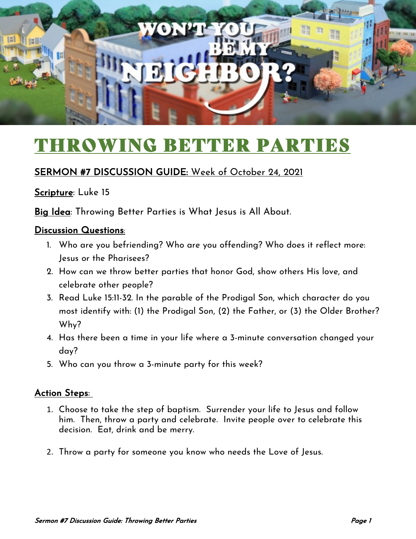

# THROWING BETTER PARTIES

### SERMON #7 DISCUSSION GUIDE: Week of October 24, 2021

#### Scripture: Luke 15

Big Idea: Throwing Better Parties is What Jesus is All About.

#### Discussion Questions:

- 1. Who are you befriending? Who are you offending? Who does it reflect more: Jesus or the Pharisees?
- 2. How can we throw better parties that honor God, show others His love, and celebrate other people?
- 3. Read Luke 15:11-32. In the parable of the Prodigal Son, which character do you most identify with: (1) the Prodigal Son, (2) the Father, or (3) the Older Brother? Why?
- 4. Has there been a time in your life where a 3-minute conversation changed your day?
- 5. Who can you throw a 3-minute party for this week?

#### Action Steps:

- 1. Choose to take the step of baptism. Surrender your life to Jesus and follow him. Then, throw a party and celebrate. Invite people over to celebrate this decision. Eat, drink and be merry.
- 2. Throw a party for someone you know who needs the Love of Jesus.